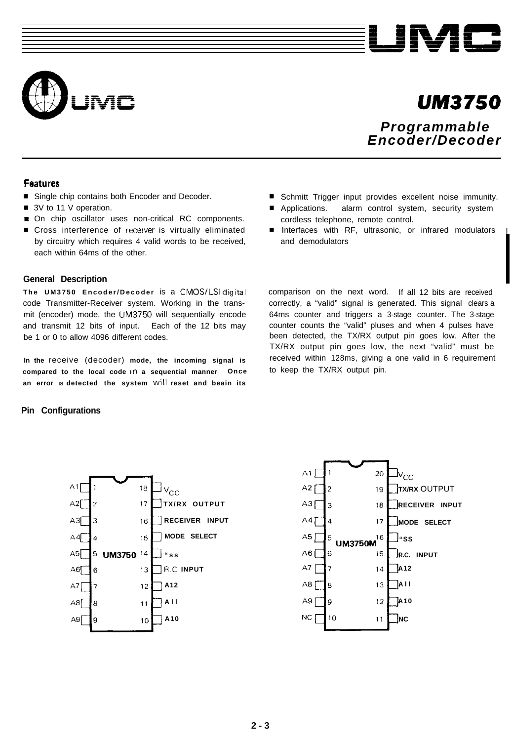



# *UN13750*

*Programmable Encoder/Decoder*

Schmitt Trigger input provides excellent noise immunity. Applications. alarm control system, security system

Interfaces with RF, ultrasonic, or infrared modulators

comparison on the next word. If all 12 bits are received correctly, a "valid" signal is generated. This signal clears a 64ms counter and triggers a 3-stage counter. The 3-stage counter counts the "valid" pluses and when 4 pulses have been detected, the TX/RX output pin goes low. After the TX/RX output pin goes low, the next "valid" must be received within 128ms, giving a one valid in 6 requirement

cordless telephone, remote control.

and demodulators

to keep the TX/RX output pin.

## **Features**

- Single chip contains both Encoder and Decoder.
- 3V to 11 V operation.
- On chip oscillator uses non-critical RC components.
- Cross interference of receiver is virtually eliminated by circuitry which requires 4 valid words to be received, each within 64ms of the other.

### **General Description**

**The UM3750 Encoder/Decode r** is a CMOS/LSI digital code Transmitter-Receiver system. Working in the transmit (encoder) mode, the UM3750 will sequentially encode and transmit 12 bits of input. Each of the 12 bits may be 1 or 0 to allow 4096 different codes.

**In the** receive (decoder) **mode, the incoming signal is compared to the local code In a sequential manner Once an error IS detected the system will reset and beain its**

 $\mathsf{Iv_{c,c}}$ 

18

 $17$ 

16

 $15$ 

 $13$ 

 $12$ 

 $11$ 

 $10$ 

5 UM3750 14

**"ss R.C INPUT A12 All A10**

**TX/RX OUTPUT RECEIVER INPUT MODE SELECT**

A 1 I 20  $v_{\mathrm{cc}}$ A2 $|$ 19 **TX/RX** OUTPUT  $A3$  $18$ **RECEIVER INPUT** વ  $AA$ **MODE SELECT**  $17$ A5 16  $"$ ss **UM3750M R.C. INPUT** A6 | 15 A7 **A12**  $14$ A8 | 8 13 **All A10** A9 I 9  $12$ NC.  $10$ **NC**  $11$ 

## **Pin Configurations**

 $A1$ 

A2ſ

 $A3$ 3

 $A4$ 

 $A5$ 

 $A6$ 

 $A7$ 

A8|

 $A9$ 

 $\lambda$ 

Ŕ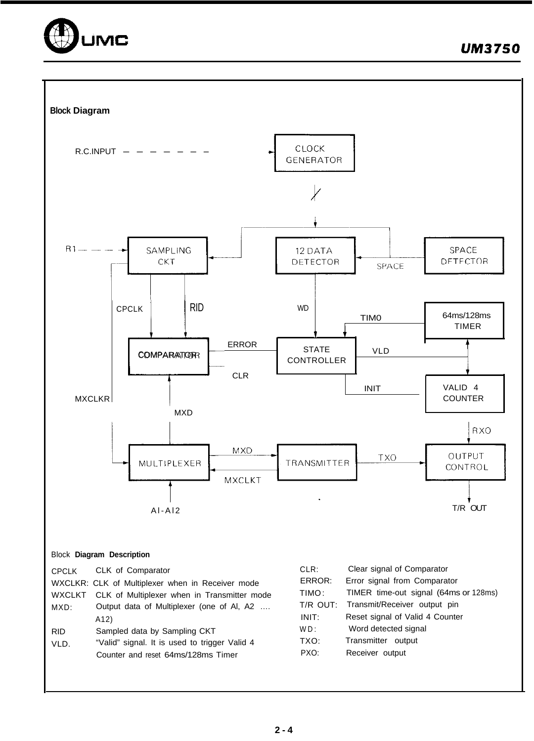

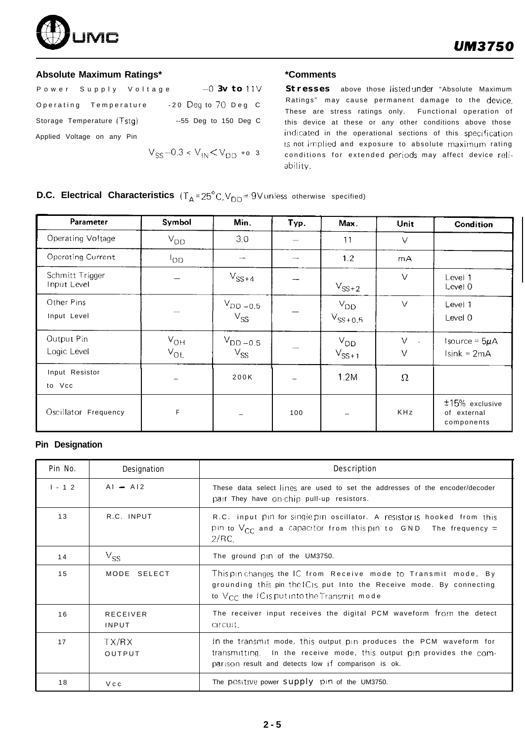

## **Absolute Maximum Ratings\***

| Power Supply Voltage       | $-0$ 3v to 11 $\vee$                       |
|----------------------------|--------------------------------------------|
| Operating Temperature      | $-20$ Deq to 70 Deg C                      |
| Storage Temperature (Tstg) | $-55$ Deg to 150 Deg C                     |
| Applied Voltage on any Pin |                                            |
|                            | $V_{SS}$ –0.3 < $V_{IN}$ $<$ $V_{DD}$ +0 3 |

## **\*Comments**

Stresses above those listed under "Absolute Maximum Ratings" may cause permanent damage to the device. These are stress ratings only. Functional operation of this device at these or any other conditions above those indicated in the operational sections of this specification IS not implied and exposure to absolute maximum rating conditions for extended periods may affect device reliability.

## **D.C. Electrical Characteristics**  $(T_A = 25^\circ C, V_{DD} = 9V \text{ units}$  otherwise specified)

| Parameter                      | Symbol               | Min.                     | Typ. | Max.                     | Unit                       | Condition                                     |
|--------------------------------|----------------------|--------------------------|------|--------------------------|----------------------------|-----------------------------------------------|
| Operating Voltage              | $V_{DD}$             | 3.0                      |      | 11                       | $\vee$                     |                                               |
| <b>Operating Current</b>       | ססי                  |                          |      | 1.2                      | mA                         |                                               |
| Schmitt Trigger<br>Input Level |                      | $V_{SS+4}$               |      | $V_{SS+2}$               | $\vee$                     | Level 1<br>Level 0                            |
| Other Pins<br>Input Level      |                      | $V_{DD-0.5}$<br>$V_{SS}$ |      | $V_{DD}$<br>$V_{SS+0.5}$ | $\vee$                     | Level 1<br>Level 0                            |
| Output Pin<br>Logic Level      | $V_{OH}$<br>$V_{OL}$ | $V_{DD-0.5}$<br>$V_{SS}$ |      | $V_{DD}$<br>$V_{SS+1}$   | $\vee$<br>$\sim$<br>$\vee$ | Isource = $5\mu$ A<br>$Isink = 2mA$           |
| Input Resistor<br>to Vcc       |                      | 200K                     |      | 1.2M                     | Ω                          |                                               |
| Oscillator Frequency           | F                    |                          | 100  |                          | <b>KHz</b>                 | $±15%$ exclusive<br>of external<br>components |

## **Pin Designation**

| Pin No.  | Designation              | Description                                                                                                                                                                                        |
|----------|--------------------------|----------------------------------------------------------------------------------------------------------------------------------------------------------------------------------------------------|
| $1 - 12$ | $AI - A12$               | These data select lines are used to set the addresses of the encoder/decoder<br>pair They have on-chip pull-up resistors.                                                                          |
| 13       | R.C. INPUT               | R.C. input pin for single pin oscillator. A resistor is hooked from this<br>pin to $V_{CC}$ and a capacitor from thispin to GND. The frequency =<br>2/RC                                           |
| 14       | $V_{SS}$                 | The ground pin of the UM3750.                                                                                                                                                                      |
| 15       | MODE SELECT              | Thispin changes the IC from Receive mode to Transmit mode, By<br>grounding this pin the Cis put Into the Receive mode. By connecting<br>to $V_{CC}$ the <i>C</i> is put into the Transmit mode     |
| 16       | <b>RECEIVER</b><br>INPUT | The receiver input receives the digital PCM waveform from the detect<br>circuit.                                                                                                                   |
| 17       | TX/RX<br>OUTPUT          | In the transmit mode, this output pin produces the PCM waveform for<br>transmitting. In the receive mode, this output pin provides the com-<br>parison result and detects low if comparison is ok. |
| 18       | Vcc                      | The positive power supply pin of the UM3750.                                                                                                                                                       |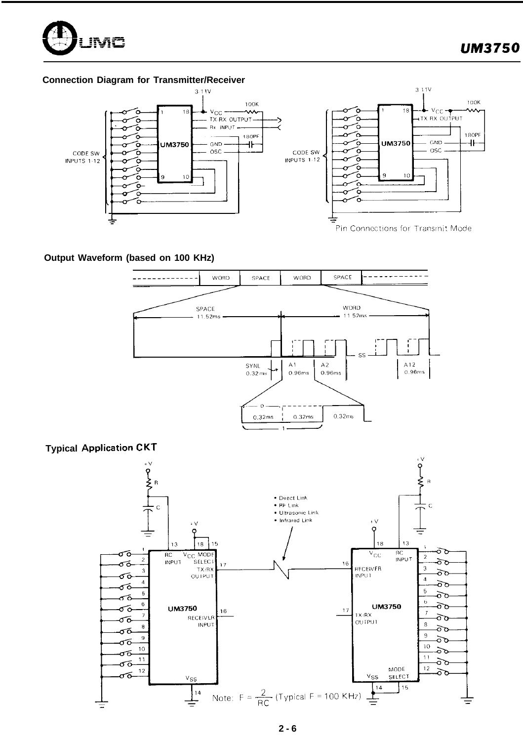

## **Connection Diagram for Transmitter/Receiver**



## **Output Waveform (based on 100 KHz)**